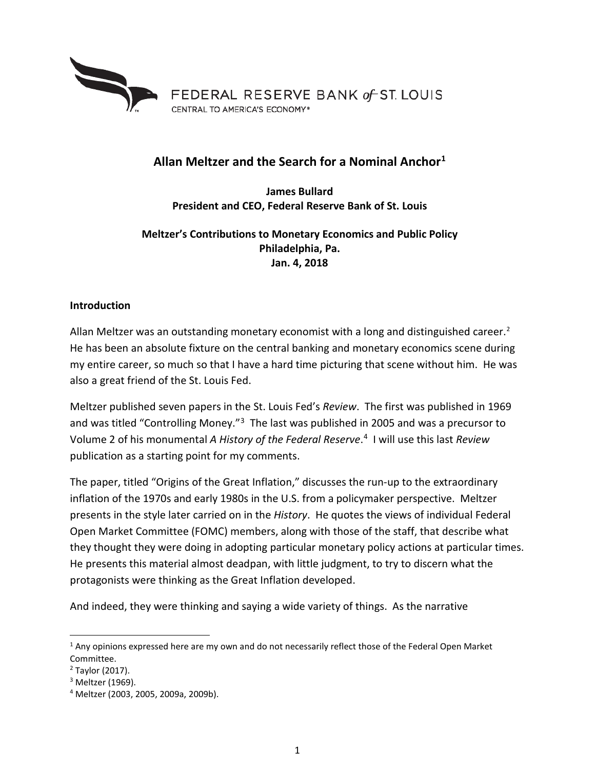

# **Allan Meltzer and the Search for a Nominal Anchor[1](#page-0-0)**

**James Bullard President and CEO, Federal Reserve Bank of St. Louis**

### **Meltzer's Contributions to Monetary Economics and Public Policy Philadelphia, Pa. Jan. 4, 2018**

#### **Introduction**

Allan Meltzer was an outstanding monetary economist with a long and distinguished career.<sup>2</sup> He has been an absolute fixture on the central banking and monetary economics scene during my entire career, so much so that I have a hard time picturing that scene without him. He was also a great friend of the St. Louis Fed.

Meltzer published seven papers in the St. Louis Fed's *Review*. The first was published in 1969 and was titled "Controlling Money." $3$  The last was published in 2005 and was a precursor to Volume 2 of his monumental *A History of the Federal Reserve*. [4](#page-0-3) I will use this last *Review* publication as a starting point for my comments.

The paper, titled "Origins of the Great Inflation," discusses the run-up to the extraordinary inflation of the 1970s and early 1980s in the U.S. from a policymaker perspective. Meltzer presents in the style later carried on in the *History*. He quotes the views of individual Federal Open Market Committee (FOMC) members, along with those of the staff, that describe what they thought they were doing in adopting particular monetary policy actions at particular times. He presents this material almost deadpan, with little judgment, to try to discern what the protagonists were thinking as the Great Inflation developed.

And indeed, they were thinking and saying a wide variety of things. As the narrative

<span id="page-0-0"></span><sup>&</sup>lt;sup>1</sup> Any opinions expressed here are my own and do not necessarily reflect those of the Federal Open Market Committee.

<span id="page-0-1"></span> $2$  Taylor (2017).

<span id="page-0-2"></span> $3$  Meltzer (1969).

<span id="page-0-3"></span><sup>4</sup> Meltzer (2003, 2005, 2009a, 2009b).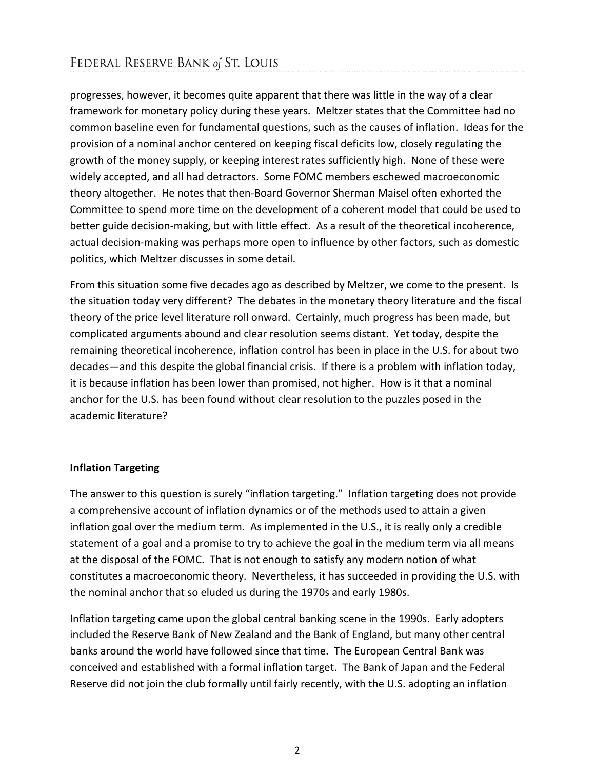progresses, however, it becomes quite apparent that there was little in the way of a clear framework for monetary policy during these years. Meltzer states that the Committee had no common baseline even for fundamental questions, such as the causes of inflation. Ideas for the provision of a nominal anchor centered on keeping fiscal deficits low, closely regulating the growth of the money supply, or keeping interest rates sufficiently high. None of these were widely accepted, and all had detractors. Some FOMC members eschewed macroeconomic theory altogether. He notes that then-Board Governor Sherman Maisel often exhorted the Committee to spend more time on the development of a coherent model that could be used to better guide decision-making, but with little effect. As a result of the theoretical incoherence, actual decision-making was perhaps more open to influence by other factors, such as domestic politics, which Meltzer discusses in some detail.

From this situation some five decades ago as described by Meltzer, we come to the present. Is the situation today very different? The debates in the monetary theory literature and the fiscal theory of the price level literature roll onward. Certainly, much progress has been made, but complicated arguments abound and clear resolution seems distant. Yet today, despite the remaining theoretical incoherence, inflation control has been in place in the U.S. for about two decades—and this despite the global financial crisis. If there is a problem with inflation today, it is because inflation has been lower than promised, not higher. How is it that a nominal anchor for the U.S. has been found without clear resolution to the puzzles posed in the academic literature?

#### **Inflation Targeting**

The answer to this question is surely "inflation targeting." Inflation targeting does not provide a comprehensive account of inflation dynamics or of the methods used to attain a given inflation goal over the medium term. As implemented in the U.S., it is really only a credible statement of a goal and a promise to try to achieve the goal in the medium term via all means at the disposal of the FOMC. That is not enough to satisfy any modern notion of what constitutes a macroeconomic theory. Nevertheless, it has succeeded in providing the U.S. with the nominal anchor that so eluded us during the 1970s and early 1980s.

Inflation targeting came upon the global central banking scene in the 1990s. Early adopters included the Reserve Bank of New Zealand and the Bank of England, but many other central banks around the world have followed since that time. The European Central Bank was conceived and established with a formal inflation target. The Bank of Japan and the Federal Reserve did not join the club formally until fairly recently, with the U.S. adopting an inflation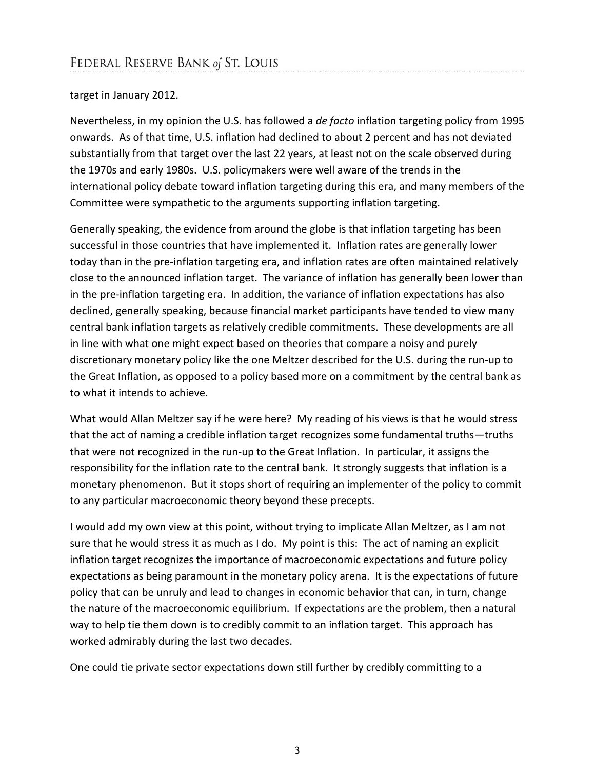#### target in January 2012.

Nevertheless, in my opinion the U.S. has followed a *de facto* inflation targeting policy from 1995 onwards. As of that time, U.S. inflation had declined to about 2 percent and has not deviated substantially from that target over the last 22 years, at least not on the scale observed during the 1970s and early 1980s. U.S. policymakers were well aware of the trends in the international policy debate toward inflation targeting during this era, and many members of the Committee were sympathetic to the arguments supporting inflation targeting.

Generally speaking, the evidence from around the globe is that inflation targeting has been successful in those countries that have implemented it. Inflation rates are generally lower today than in the pre-inflation targeting era, and inflation rates are often maintained relatively close to the announced inflation target. The variance of inflation has generally been lower than in the pre-inflation targeting era. In addition, the variance of inflation expectations has also declined, generally speaking, because financial market participants have tended to view many central bank inflation targets as relatively credible commitments. These developments are all in line with what one might expect based on theories that compare a noisy and purely discretionary monetary policy like the one Meltzer described for the U.S. during the run-up to the Great Inflation, as opposed to a policy based more on a commitment by the central bank as to what it intends to achieve.

What would Allan Meltzer say if he were here? My reading of his views is that he would stress that the act of naming a credible inflation target recognizes some fundamental truths—truths that were not recognized in the run-up to the Great Inflation. In particular, it assigns the responsibility for the inflation rate to the central bank. It strongly suggests that inflation is a monetary phenomenon. But it stops short of requiring an implementer of the policy to commit to any particular macroeconomic theory beyond these precepts.

I would add my own view at this point, without trying to implicate Allan Meltzer, as I am not sure that he would stress it as much as I do. My point is this: The act of naming an explicit inflation target recognizes the importance of macroeconomic expectations and future policy expectations as being paramount in the monetary policy arena. It is the expectations of future policy that can be unruly and lead to changes in economic behavior that can, in turn, change the nature of the macroeconomic equilibrium. If expectations are the problem, then a natural way to help tie them down is to credibly commit to an inflation target. This approach has worked admirably during the last two decades.

One could tie private sector expectations down still further by credibly committing to a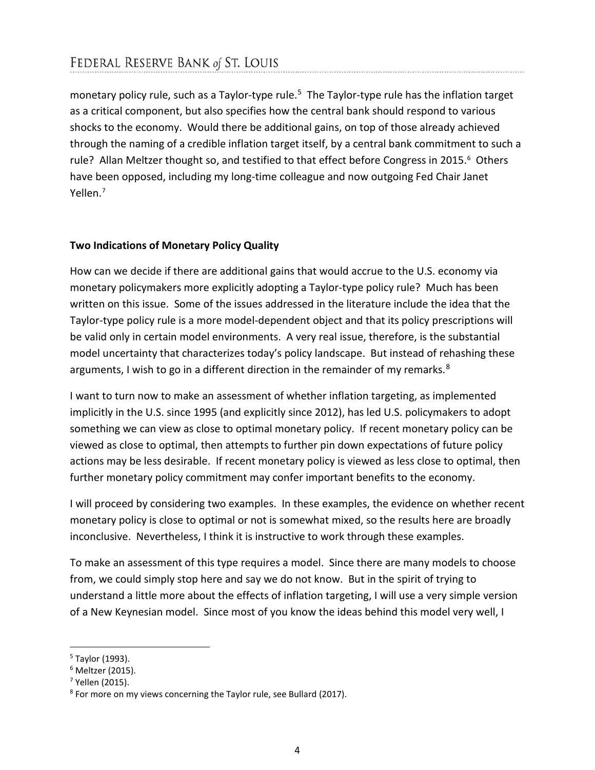monetary policy rule, such as a Taylor-type rule.<sup>5</sup> The Taylor-type rule has the inflation target as a critical component, but also specifies how the central bank should respond to various shocks to the economy. Would there be additional gains, on top of those already achieved through the naming of a credible inflation target itself, by a central bank commitment to such a rule? Allan Meltzer thought so, and testified to that effect before Congress in 2015.<sup>[6](#page-3-1)</sup> Others have been opposed, including my long-time colleague and now outgoing Fed Chair Janet Yellen.[7](#page-3-2)

#### **Two Indications of Monetary Policy Quality**

How can we decide if there are additional gains that would accrue to the U.S. economy via monetary policymakers more explicitly adopting a Taylor-type policy rule? Much has been written on this issue. Some of the issues addressed in the literature include the idea that the Taylor-type policy rule is a more model-dependent object and that its policy prescriptions will be valid only in certain model environments. A very real issue, therefore, is the substantial model uncertainty that characterizes today's policy landscape. But instead of rehashing these arguments, I wish to go in a different direction in the remainder of my remarks.<sup>[8](#page-3-3)</sup>

I want to turn now to make an assessment of whether inflation targeting, as implemented implicitly in the U.S. since 1995 (and explicitly since 2012), has led U.S. policymakers to adopt something we can view as close to optimal monetary policy. If recent monetary policy can be viewed as close to optimal, then attempts to further pin down expectations of future policy actions may be less desirable. If recent monetary policy is viewed as less close to optimal, then further monetary policy commitment may confer important benefits to the economy.

I will proceed by considering two examples. In these examples, the evidence on whether recent monetary policy is close to optimal or not is somewhat mixed, so the results here are broadly inconclusive. Nevertheless, I think it is instructive to work through these examples.

To make an assessment of this type requires a model. Since there are many models to choose from, we could simply stop here and say we do not know. But in the spirit of trying to understand a little more about the effects of inflation targeting, I will use a very simple version of a New Keynesian model. Since most of you know the ideas behind this model very well, I

<span id="page-3-0"></span> <sup>5</sup> Taylor (1993).

<span id="page-3-1"></span> $6$  Meltzer (2015).

<span id="page-3-2"></span><sup>7</sup> Yellen (2015).

<span id="page-3-3"></span><sup>&</sup>lt;sup>8</sup> For more on my views concerning the Taylor rule, see Bullard (2017).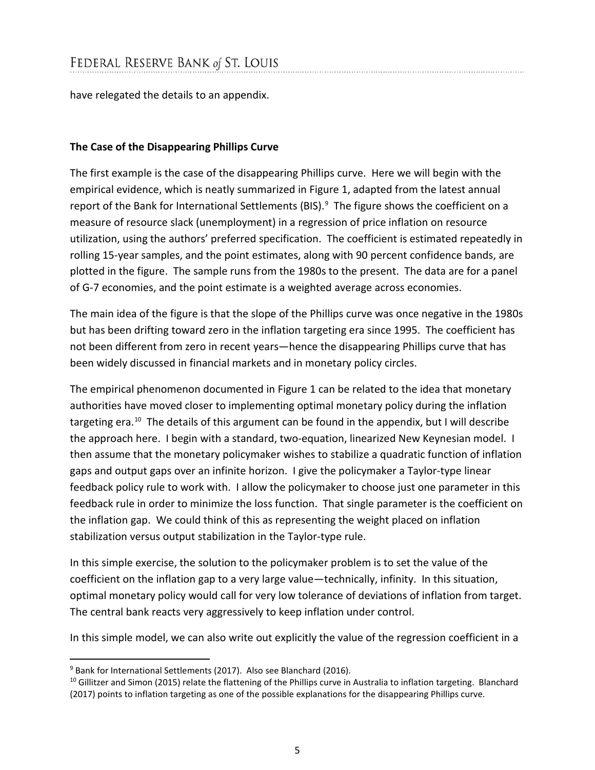have relegated the details to an appendix.

## **The Case of the Disappearing Phillips Curve**

The first example is the case of the disappearing Phillips curve. Here we will begin with the empirical evidence, which is neatly summarized in Figure 1, adapted from the latest annual report of the Bank for International Settlements (BIS). [9](#page-4-0) The figure shows the coefficient on a measure of resource slack (unemployment) in a regression of price inflation on resource utilization, using the authors' preferred specification. The coefficient is estimated repeatedly in rolling 15-year samples, and the point estimates, along with 90 percent confidence bands, are plotted in the figure. The sample runs from the 1980s to the present. The data are for a panel of G-7 economies, and the point estimate is a weighted average across economies.

The main idea of the figure is that the slope of the Phillips curve was once negative in the 1980s but has been drifting toward zero in the inflation targeting era since 1995. The coefficient has not been different from zero in recent years—hence the disappearing Phillips curve that has been widely discussed in financial markets and in monetary policy circles.

The empirical phenomenon documented in Figure 1 can be related to the idea that monetary authorities have moved closer to implementing optimal monetary policy during the inflation targeting era.<sup>10</sup> The details of this argument can be found in the appendix, but I will describe the approach here. I begin with a standard, two-equation, linearized New Keynesian model. I then assume that the monetary policymaker wishes to stabilize a quadratic function of inflation gaps and output gaps over an infinite horizon. I give the policymaker a Taylor-type linear feedback policy rule to work with. I allow the policymaker to choose just one parameter in this feedback rule in order to minimize the loss function. That single parameter is the coefficient on the inflation gap. We could think of this as representing the weight placed on inflation stabilization versus output stabilization in the Taylor-type rule.

In this simple exercise, the solution to the policymaker problem is to set the value of the coefficient on the inflation gap to a very large value—technically, infinity. In this situation, optimal monetary policy would call for very low tolerance of deviations of inflation from target. The central bank reacts very aggressively to keep inflation under control.

In this simple model, we can also write out explicitly the value of the regression coefficient in a

<span id="page-4-0"></span><sup>&</sup>lt;sup>9</sup> Bank for International Settlements (2017). Also see Blanchard (2016).

<span id="page-4-1"></span> $10$  Gillitzer and Simon (2015) relate the flattening of the Phillips curve in Australia to inflation targeting. Blanchard (2017) points to inflation targeting as one of the possible explanations for the disappearing Phillips curve.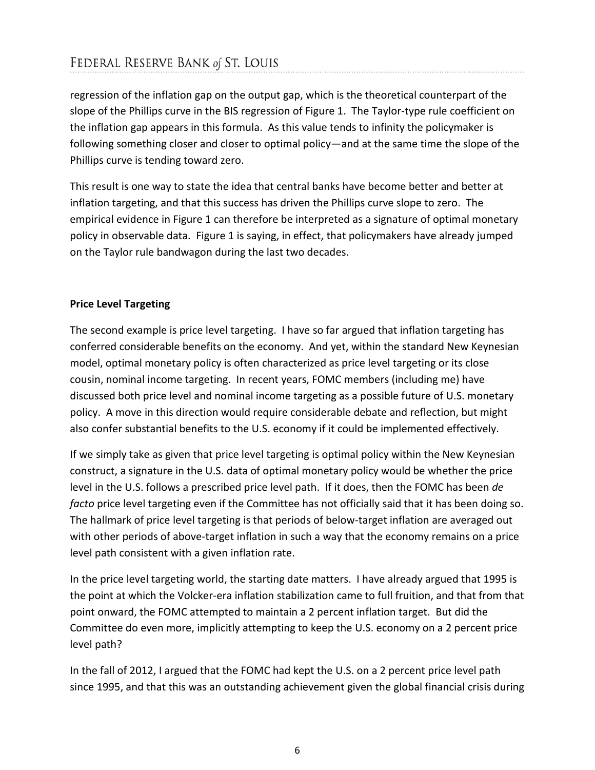regression of the inflation gap on the output gap, which is the theoretical counterpart of the slope of the Phillips curve in the BIS regression of Figure 1. The Taylor-type rule coefficient on the inflation gap appears in this formula. As this value tends to infinity the policymaker is following something closer and closer to optimal policy—and at the same time the slope of the Phillips curve is tending toward zero.

This result is one way to state the idea that central banks have become better and better at inflation targeting, and that this success has driven the Phillips curve slope to zero. The empirical evidence in Figure 1 can therefore be interpreted as a signature of optimal monetary policy in observable data. Figure 1 is saying, in effect, that policymakers have already jumped on the Taylor rule bandwagon during the last two decades.

### **Price Level Targeting**

The second example is price level targeting. I have so far argued that inflation targeting has conferred considerable benefits on the economy. And yet, within the standard New Keynesian model, optimal monetary policy is often characterized as price level targeting or its close cousin, nominal income targeting. In recent years, FOMC members (including me) have discussed both price level and nominal income targeting as a possible future of U.S. monetary policy. A move in this direction would require considerable debate and reflection, but might also confer substantial benefits to the U.S. economy if it could be implemented effectively.

If we simply take as given that price level targeting is optimal policy within the New Keynesian construct, a signature in the U.S. data of optimal monetary policy would be whether the price level in the U.S. follows a prescribed price level path. If it does, then the FOMC has been *de facto* price level targeting even if the Committee has not officially said that it has been doing so. The hallmark of price level targeting is that periods of below-target inflation are averaged out with other periods of above-target inflation in such a way that the economy remains on a price level path consistent with a given inflation rate.

In the price level targeting world, the starting date matters. I have already argued that 1995 is the point at which the Volcker-era inflation stabilization came to full fruition, and that from that point onward, the FOMC attempted to maintain a 2 percent inflation target. But did the Committee do even more, implicitly attempting to keep the U.S. economy on a 2 percent price level path?

In the fall of 2012, I argued that the FOMC had kept the U.S. on a 2 percent price level path since 1995, and that this was an outstanding achievement given the global financial crisis during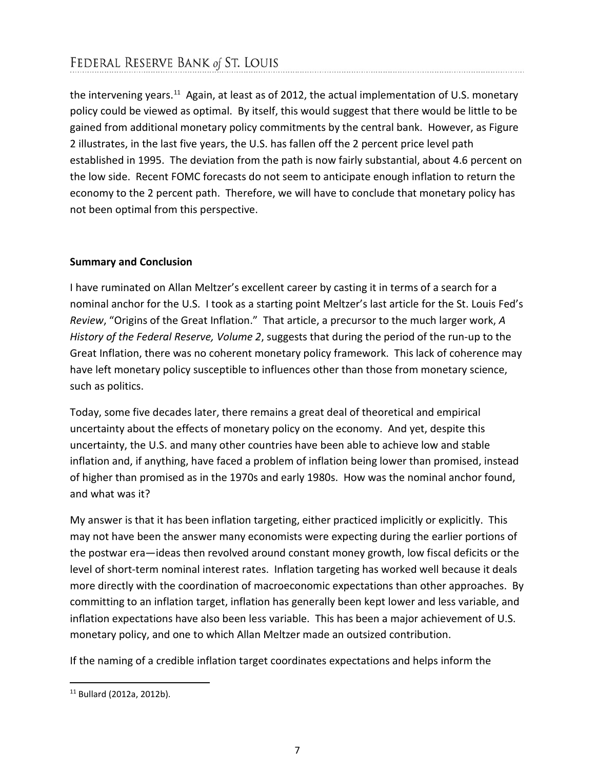the intervening years.<sup>11</sup> Again, at least as of 2012, the actual implementation of U.S. monetary policy could be viewed as optimal. By itself, this would suggest that there would be little to be gained from additional monetary policy commitments by the central bank. However, as Figure 2 illustrates, in the last five years, the U.S. has fallen off the 2 percent price level path established in 1995. The deviation from the path is now fairly substantial, about 4.6 percent on the low side. Recent FOMC forecasts do not seem to anticipate enough inflation to return the economy to the 2 percent path. Therefore, we will have to conclude that monetary policy has not been optimal from this perspective.

### **Summary and Conclusion**

I have ruminated on Allan Meltzer's excellent career by casting it in terms of a search for a nominal anchor for the U.S. I took as a starting point Meltzer's last article for the St. Louis Fed's *Review*, "Origins of the Great Inflation." That article, a precursor to the much larger work, *A History of the Federal Reserve, Volume 2*, suggests that during the period of the run-up to the Great Inflation, there was no coherent monetary policy framework. This lack of coherence may have left monetary policy susceptible to influences other than those from monetary science, such as politics.

Today, some five decades later, there remains a great deal of theoretical and empirical uncertainty about the effects of monetary policy on the economy. And yet, despite this uncertainty, the U.S. and many other countries have been able to achieve low and stable inflation and, if anything, have faced a problem of inflation being lower than promised, instead of higher than promised as in the 1970s and early 1980s. How was the nominal anchor found, and what was it?

My answer is that it has been inflation targeting, either practiced implicitly or explicitly. This may not have been the answer many economists were expecting during the earlier portions of the postwar era—ideas then revolved around constant money growth, low fiscal deficits or the level of short-term nominal interest rates. Inflation targeting has worked well because it deals more directly with the coordination of macroeconomic expectations than other approaches. By committing to an inflation target, inflation has generally been kept lower and less variable, and inflation expectations have also been less variable. This has been a major achievement of U.S. monetary policy, and one to which Allan Meltzer made an outsized contribution.

If the naming of a credible inflation target coordinates expectations and helps inform the

<span id="page-6-0"></span> <sup>11</sup> Bullard (2012a, 2012b).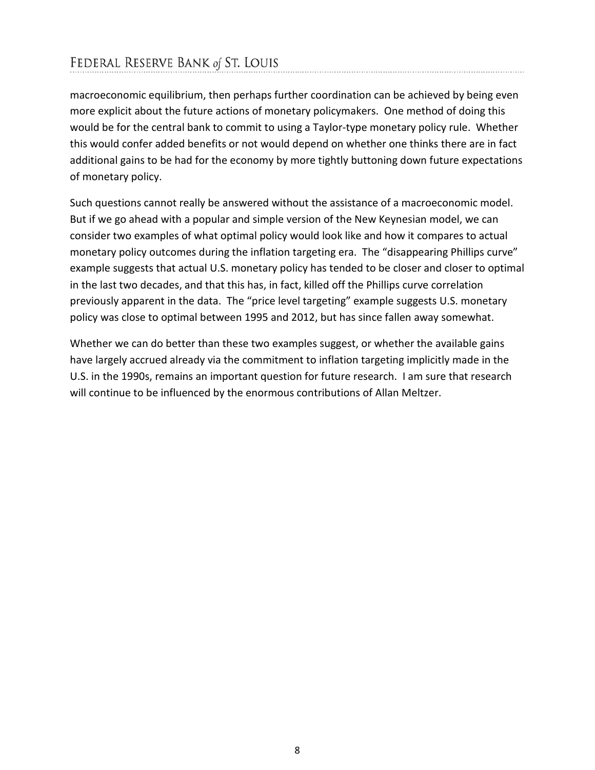macroeconomic equilibrium, then perhaps further coordination can be achieved by being even more explicit about the future actions of monetary policymakers. One method of doing this would be for the central bank to commit to using a Taylor-type monetary policy rule. Whether this would confer added benefits or not would depend on whether one thinks there are in fact additional gains to be had for the economy by more tightly buttoning down future expectations of monetary policy.

Such questions cannot really be answered without the assistance of a macroeconomic model. But if we go ahead with a popular and simple version of the New Keynesian model, we can consider two examples of what optimal policy would look like and how it compares to actual monetary policy outcomes during the inflation targeting era. The "disappearing Phillips curve" example suggests that actual U.S. monetary policy has tended to be closer and closer to optimal in the last two decades, and that this has, in fact, killed off the Phillips curve correlation previously apparent in the data. The "price level targeting" example suggests U.S. monetary policy was close to optimal between 1995 and 2012, but has since fallen away somewhat.

Whether we can do better than these two examples suggest, or whether the available gains have largely accrued already via the commitment to inflation targeting implicitly made in the U.S. in the 1990s, remains an important question for future research. I am sure that research will continue to be influenced by the enormous contributions of Allan Meltzer.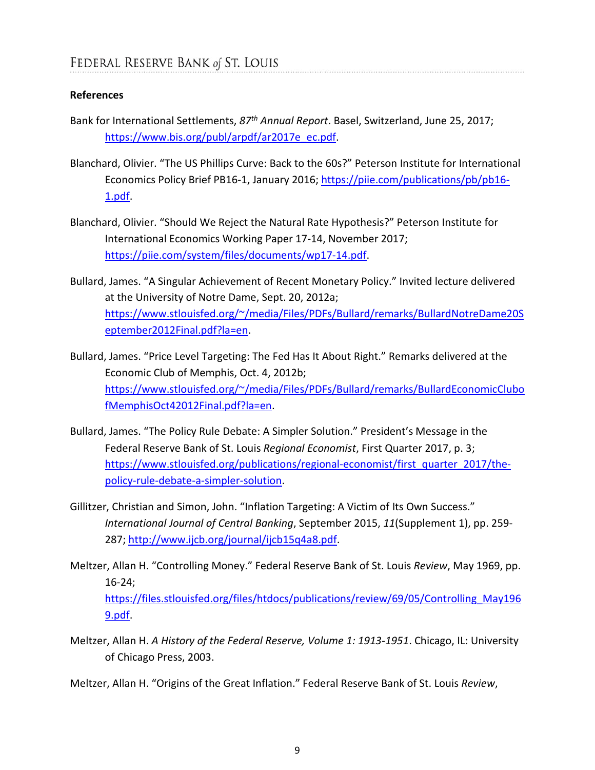### **References**

- Bank for International Settlements, *87th Annual Report*. Basel, Switzerland, June 25, 2017; [https://www.bis.org/publ/arpdf/ar2017e\\_ec.pdf.](https://www.bis.org/publ/arpdf/ar2017e_ec.pdf)
- Blanchard, Olivier. "The US Phillips Curve: Back to the 60s?" Peterson Institute for International Economics Policy Brief PB16-1, January 2016; [https://piie.com/publications/pb/pb16-](https://piie.com/publications/pb/pb16-1.pdf) [1.pdf.](https://piie.com/publications/pb/pb16-1.pdf)
- Blanchard, Olivier. "Should We Reject the Natural Rate Hypothesis?" Peterson Institute for International Economics Working Paper 17-14, November 2017; [https://piie.com/system/files/documents/wp17-14.pdf.](https://piie.com/system/files/documents/wp17-14.pdf)
- Bullard, James. "A Singular Achievement of Recent Monetary Policy." Invited lecture delivered at the University of Notre Dame, Sept. 20, 2012a; [https://www.stlouisfed.org/~/media/Files/PDFs/Bullard/remarks/BullardNotreDame20S](https://www.stlouisfed.org/%7E/media/Files/PDFs/Bullard/remarks/BullardNotreDame20September2012Final.pdf?la=en) [eptember2012Final.pdf?la=en.](https://www.stlouisfed.org/%7E/media/Files/PDFs/Bullard/remarks/BullardNotreDame20September2012Final.pdf?la=en)
- Bullard, James. "Price Level Targeting: The Fed Has It About Right." Remarks delivered at the Economic Club of Memphis, Oct. 4, 2012b; [https://www.stlouisfed.org/~/media/Files/PDFs/Bullard/remarks/BullardEconomicClubo](https://www.stlouisfed.org/%7E/media/Files/PDFs/Bullard/remarks/BullardEconomicClubofMemphisOct42012Final.pdf?la=en) [fMemphisOct42012Final.pdf?la=en.](https://www.stlouisfed.org/%7E/media/Files/PDFs/Bullard/remarks/BullardEconomicClubofMemphisOct42012Final.pdf?la=en)
- Bullard, James. "The Policy Rule Debate: A Simpler Solution." President's Message in the Federal Reserve Bank of St. Louis *Regional Economist*, First Quarter 2017, p. 3; [https://www.stlouisfed.org/publications/regional-economist/first\\_quarter\\_2017/the](https://www.stlouisfed.org/publications/regional-economist/first_quarter_2017/the-policy-rule-debate-a-simpler-solution)[policy-rule-debate-a-simpler-solution.](https://www.stlouisfed.org/publications/regional-economist/first_quarter_2017/the-policy-rule-debate-a-simpler-solution)
- Gillitzer, Christian and Simon, John. "Inflation Targeting: A Victim of Its Own Success." *International Journal of Central Banking*, September 2015, *11*(Supplement 1), pp. 259 287; [http://www.ijcb.org/journal/ijcb15q4a8.pdf.](http://www.ijcb.org/journal/ijcb15q4a8.pdf)
- Meltzer, Allan H. "Controlling Money." Federal Reserve Bank of St. Louis *Review*, May 1969, pp. 16-24; [https://files.stlouisfed.org/files/htdocs/publications/review/69/05/Controlling\\_May196](https://files.stlouisfed.org/files/htdocs/publications/review/69/05/Controlling_May1969.pdf) [9.pdf.](https://files.stlouisfed.org/files/htdocs/publications/review/69/05/Controlling_May1969.pdf)
- Meltzer, Allan H. *A History of the Federal Reserve, Volume 1: 1913-1951*. Chicago, IL: University of Chicago Press, 2003.

Meltzer, Allan H. "Origins of the Great Inflation." Federal Reserve Bank of St. Louis *Review*,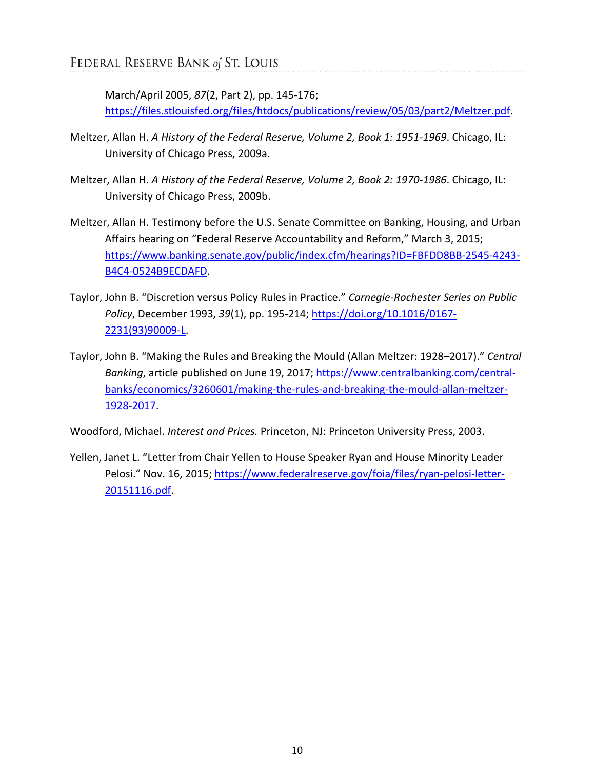March/April 2005, *87*(2, Part 2), pp. 145-176; [https://files.stlouisfed.org/files/htdocs/publications/review/05/03/part2/Meltzer.pdf.](https://files.stlouisfed.org/files/htdocs/publications/review/05/03/part2/Meltzer.pdf)

- Meltzer, Allan H. *A History of the Federal Reserve, Volume 2, Book 1: 1951-1969*. Chicago, IL: University of Chicago Press, 2009a.
- Meltzer, Allan H. *A History of the Federal Reserve, Volume 2, Book 2: 1970-1986*. Chicago, IL: University of Chicago Press, 2009b.
- Meltzer, Allan H. Testimony before the U.S. Senate Committee on Banking, Housing, and Urban Affairs hearing on "Federal Reserve Accountability and Reform," March 3, 2015; [https://www.banking.senate.gov/public/index.cfm/hearings?ID=FBFDD8BB-2545-4243-](https://www.banking.senate.gov/public/index.cfm/hearings?ID=FBFDD8BB-2545-4243-B4C4-0524B9ECDAFD) [B4C4-0524B9ECDAFD.](https://www.banking.senate.gov/public/index.cfm/hearings?ID=FBFDD8BB-2545-4243-B4C4-0524B9ECDAFD)
- Taylor, John B. "Discretion versus Policy Rules in Practice." *Carnegie-Rochester Series on Public Policy*, December 1993, *39*(1), pp. 195-214; [https://doi.org/10.1016/0167-](https://doi.org/10.1016/0167-2231(93)90009-L) [2231\(93\)90009-L.](https://doi.org/10.1016/0167-2231(93)90009-L)
- Taylor, John B. "Making the Rules and Breaking the Mould (Allan Meltzer: 1928–2017)." *Central Banking*, article published on June 19, 2017; [https://www.centralbanking.com/central](https://www.centralbanking.com/central-banks/economics/3260601/making-the-rules-and-breaking-the-mould-allan-meltzer-1928-2017)[banks/economics/3260601/making-the-rules-and-breaking-the-mould-allan-meltzer-](https://www.centralbanking.com/central-banks/economics/3260601/making-the-rules-and-breaking-the-mould-allan-meltzer-1928-2017)[1928-2017.](https://www.centralbanking.com/central-banks/economics/3260601/making-the-rules-and-breaking-the-mould-allan-meltzer-1928-2017)

Woodford, Michael. *Interest and Prices.* Princeton, NJ: Princeton University Press, 2003.

Yellen, Janet L. "Letter from Chair Yellen to House Speaker Ryan and House Minority Leader Pelosi." Nov. 16, 2015; [https://www.federalreserve.gov/foia/files/ryan-pelosi-letter-](https://www.federalreserve.gov/foia/files/ryan-pelosi-letter-20151116.pdf)[20151116.pdf.](https://www.federalreserve.gov/foia/files/ryan-pelosi-letter-20151116.pdf)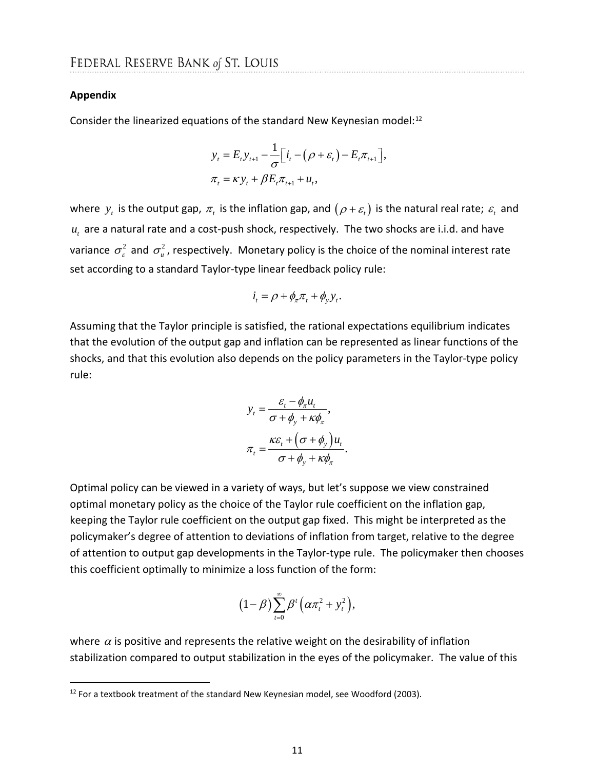#### **Appendix**

Consider the linearized equations of the standard New Keynesian model:<sup>[12](#page-10-0)</sup>

$$
y_{t} = E_{t} y_{t+1} - \frac{1}{\sigma} \Big[ i_{t} - (\rho + \varepsilon_{t}) - E_{t} \pi_{t+1} \Big],
$$
  

$$
\pi_{t} = \kappa y_{t} + \beta E_{t} \pi_{t+1} + u_{t},
$$

where  $y_t$  is the output gap,  $\pi_t$  is the inflation gap, and  $(\rho + \varepsilon_t)$  is the natural real rate;  $\varepsilon_t$  and  $u_t$  are a natural rate and a cost-push shock, respectively. The two shocks are i.i.d. and have variance  $\sigma_{\varepsilon}^2$  and  $\sigma_{\mu}^2$ , respectively. Monetary policy is the choice of the nominal interest rate set according to a standard Taylor-type linear feedback policy rule:

$$
\dot{i}_t = \rho + \phi_\pi \pi_t + \phi_y y_t.
$$

Assuming that the Taylor principle is satisfied, the rational expectations equilibrium indicates that the evolution of the output gap and inflation can be represented as linear functions of the shocks, and that this evolution also depends on the policy parameters in the Taylor-type policy rule:

$$
y_t = \frac{\varepsilon_t - \phi_\pi u_t}{\sigma + \phi_y + \kappa \phi_\pi},
$$

$$
\pi_t = \frac{\kappa \varepsilon_t + (\sigma + \phi_y) u_t}{\sigma + \phi_y + \kappa \phi_\pi}
$$

.

Optimal policy can be viewed in a variety of ways, but let's suppose we view constrained optimal monetary policy as the choice of the Taylor rule coefficient on the inflation gap, keeping the Taylor rule coefficient on the output gap fixed. This might be interpreted as the policymaker's degree of attention to deviations of inflation from target, relative to the degree of attention to output gap developments in the Taylor-type rule. The policymaker then chooses this coefficient optimally to minimize a loss function of the form:

$$
(1-\beta)\sum_{t=0}^{\infty}\beta^{t}\big(\alpha\pi_t^2+\mathrm{y}_t^2\big),\,
$$

where  $\alpha$  is positive and represents the relative weight on the desirability of inflation stabilization compared to output stabilization in the eyes of the policymaker. The value of this

<span id="page-10-0"></span> $12$  For a textbook treatment of the standard New Keynesian model, see Woodford (2003).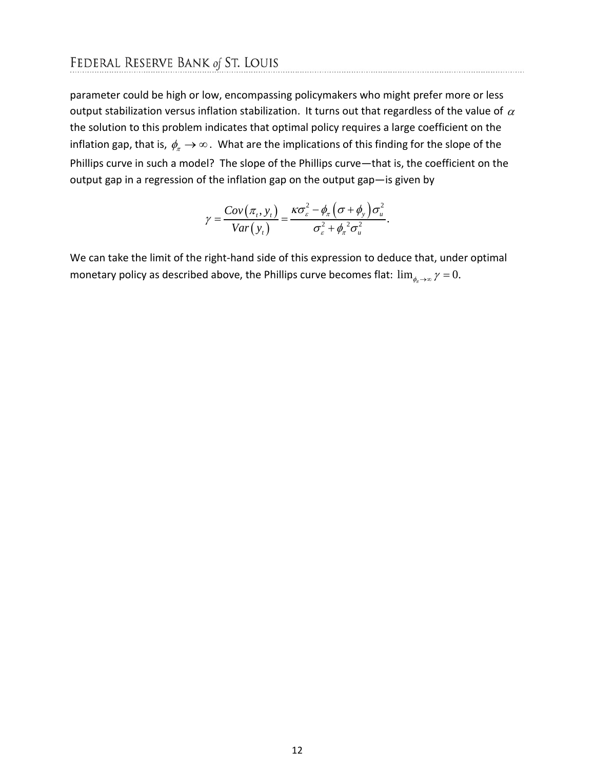parameter could be high or low, encompassing policymakers who might prefer more or less output stabilization versus inflation stabilization. It turns out that regardless of the value of  $\alpha$ the solution to this problem indicates that optimal policy requires a large coefficient on the inflation gap, that is,  $\phi_{\pi} \to \infty$ . What are the implications of this finding for the slope of the Phillips curve in such a model? The slope of the Phillips curve—that is, the coefficient on the output gap in a regression of the inflation gap on the output gap—is given by

$$
\gamma = \frac{Cov(\pi_t, y_t)}{Var(y_t)} = \frac{\kappa \sigma_{\varepsilon}^2 - \phi_{\pi} \left( \sigma + \phi_{y} \right) \sigma_{u}^2}{\sigma_{\varepsilon}^2 + \phi_{\pi}^2 \sigma_{u}^2}.
$$

We can take the limit of the right-hand side of this expression to deduce that, under optimal monetary policy as described above, the Phillips curve becomes flat:  $\lim_{\phi \to \infty} \gamma = 0$ .